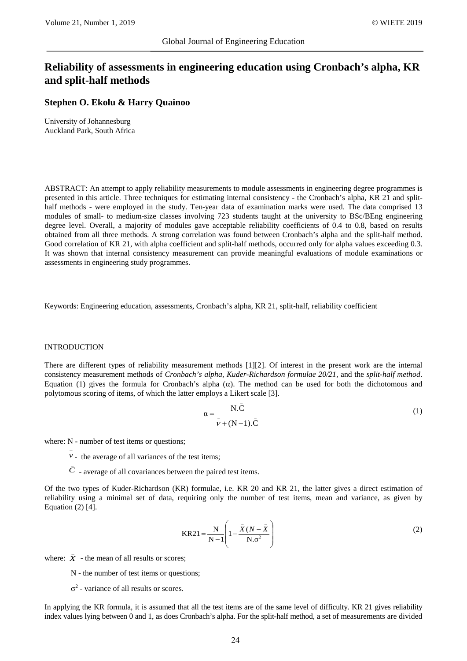# **Reliability of assessments in engineering education using Cronbach's alpha, KR and split-half methods**

## **Stephen O. Ekolu & Harry Quainoo**

University of Johannesburg Auckland Park, South Africa

ABSTRACT: An attempt to apply reliability measurements to module assessments in engineering degree programmes is presented in this article. Three techniques for estimating internal consistency - the Cronbach's alpha, KR 21 and splithalf methods - were employed in the study. Ten-year data of examination marks were used. The data comprised 13 modules of small- to medium-size classes involving 723 students taught at the university to BSc/BEng engineering degree level. Overall, a majority of modules gave acceptable reliability coefficients of 0.4 to 0.8, based on results obtained from all three methods. A strong correlation was found between Cronbach's alpha and the split-half method. Good correlation of KR 21, with alpha coefficient and split-half methods, occurred only for alpha values exceeding 0.3. It was shown that internal consistency measurement can provide meaningful evaluations of module examinations or assessments in engineering study programmes.

Keywords: Engineering education, assessments, Cronbach's alpha, KR 21, split-half, reliability coefficient

#### INTRODUCTION

There are different types of reliability measurement methods [1][2]. Of interest in the present work are the internal consistency measurement methods of *Cronbach's alpha, Kuder-Richardson formulae 20/21*, and the *split-half method*. Equation (1) gives the formula for Cronbach's alpha (α). The method can be used for both the dichotomous and polytomous scoring of items, of which the latter employs a Likert scale [3].

$$
\alpha = \frac{N.\bar{C}}{\bar{\nu} + (N-1).\bar{C}}
$$
 (1)

where: N - number of test items or questions;

- $\overline{v}$  the average of all variances of the test items;
- $\overline{C}$  average of all covariances between the paired test items.

Of the two types of Kuder-Richardson (KR) formulae, i.e. KR 20 and KR 21, the latter gives a direct estimation of reliability using a minimal set of data, requiring only the number of test items, mean and variance, as given by Equation  $(2)$  [4].

$$
KR21 = \frac{N}{N-1} \left( 1 - \frac{\bar{X}(N - \bar{X})}{N \cdot \sigma^2} \right)
$$
 (2)

where:  $\bar{X}$  - the mean of all results or scores;

N - the number of test items or questions;

 $σ<sup>2</sup>$  - variance of all results or scores.

In applying the KR formula, it is assumed that all the test items are of the same level of difficulty. KR 21 gives reliability index values lying between 0 and 1, as does Cronbach's alpha. For the split-half method, a set of measurements are divided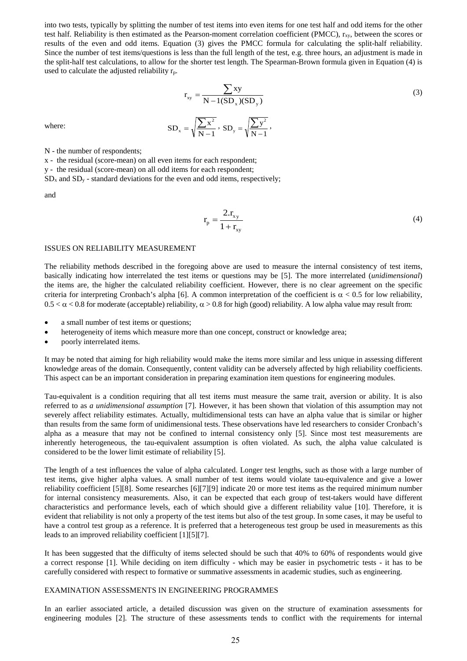into two tests, typically by splitting the number of test items into even items for one test half and odd items for the other test half. Reliability is then estimated as the Pearson-moment correlation coefficient (PMCC),  $r_{xy}$ , between the scores or results of the even and odd items. Equation (3) gives the PMCC formula for calculating the split-half reliability. Since the number of test items/questions is less than the full length of the test, e.g. three hours, an adjustment is made in the split-half test calculations, to allow for the shorter test length. The Spearman-Brown formula given in Equation (4) is used to calculate the adjusted reliability  $r_p$ .

$$
r_{xy} = \frac{\sum xy}{N - 1(SD_x)(SD_y)}
$$
\n
$$
SD_x = \sqrt{\frac{\sum x^2}{N - 1}}, SD_y = \sqrt{\frac{\sum y^2}{N - 1}},
$$
\n(3)

where:

N - the number of respondents;

x - the residual (score-mean) on all even items for each respondent;

y - the residual (score-mean) on all odd items for each respondent;

 $SD_x$  and  $SD_y$  - standard deviations for the even and odd items, respectively;

and

$$
r_{\rm p} = \frac{2.r_{\rm xy}}{1 + r_{\rm xy}}\tag{4}
$$

## ISSUES ON RELIABILITY MEASUREMENT

The reliability methods described in the foregoing above are used to measure the internal consistency of test items, basically indicating how interrelated the test items or questions may be [5]. The more interrelated (*unidimensional*) the items are, the higher the calculated reliability coefficient. However, there is no clear agreement on the specific criteria for interpreting Cronbach's alpha [6]. A common interpretation of the coefficient is  $\alpha < 0.5$  for low reliability,  $0.5 < \alpha < 0.8$  for moderate (acceptable) reliability,  $\alpha > 0.8$  for high (good) reliability. A low alpha value may result from:

- a small number of test items or questions;
- heterogeneity of items which measure more than one concept, construct or knowledge area;
- poorly interrelated items.

It may be noted that aiming for high reliability would make the items more similar and less unique in assessing different knowledge areas of the domain. Consequently, content validity can be adversely affected by high reliability coefficients. This aspect can be an important consideration in preparing examination item questions for engineering modules.

Tau-equivalent is a condition requiring that all test items must measure the same trait, aversion or ability. It is also referred to as *a unidimensional assumption* [7]. However, it has been shown that violation of this assumption may not severely affect reliability estimates. Actually, multidimensional tests can have an alpha value that is similar or higher than results from the same form of unidimensional tests. These observations have led researchers to consider Cronbach's alpha as a measure that may not be confined to internal consistency only [5]. Since most test measurements are inherently heterogeneous, the tau-equivalent assumption is often violated. As such, the alpha value calculated is considered to be the lower limit estimate of reliability [5].

The length of a test influences the value of alpha calculated. Longer test lengths, such as those with a large number of test items, give higher alpha values. A small number of test items would violate tau-equivalence and give a lower reliability coefficient [5][8]. Some researches [6][7][9] indicate 20 or more test items as the required minimum number for internal consistency measurements. Also, it can be expected that each group of test-takers would have different characteristics and performance levels, each of which should give a different reliability value [10]. Therefore, it is evident that reliability is not only a property of the test items but also of the test group. In some cases, it may be useful to have a control test group as a reference. It is preferred that a heterogeneous test group be used in measurements as this leads to an improved reliability coefficient [1][5][7].

It has been suggested that the difficulty of items selected should be such that 40% to 60% of respondents would give a correct response [1]. While deciding on item difficulty - which may be easier in psychometric tests - it has to be carefully considered with respect to formative or summative assessments in academic studies, such as engineering.

### EXAMINATION ASSESSMENTS IN ENGINEERING PROGRAMMES

In an earlier associated article, a detailed discussion was given on the structure of examination assessments for engineering modules [2]. The structure of these assessments tends to conflict with the requirements for internal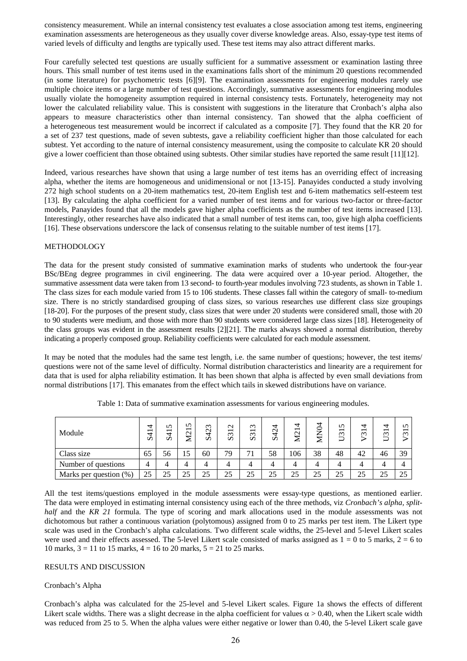consistency measurement. While an internal consistency test evaluates a close association among test items, engineering examination assessments are heterogeneous as they usually cover diverse knowledge areas. Also, essay-type test items of varied levels of difficulty and lengths are typically used. These test items may also attract different marks.

Four carefully selected test questions are usually sufficient for a summative assessment or examination lasting three hours. This small number of test items used in the examinations falls short of the minimum 20 questions recommended (in some literature) for psychometric tests [6][9]. The examination assessments for engineering modules rarely use multiple choice items or a large number of test questions. Accordingly, summative assessments for engineering modules usually violate the homogeneity assumption required in internal consistency tests. Fortunately, heterogeneity may not lower the calculated reliability value. This is consistent with suggestions in the literature that Cronbach's alpha also appears to measure characteristics other than internal consistency. Tan showed that the alpha coefficient of a heterogeneous test measurement would be incorrect if calculated as a composite [7]. They found that the KR 20 for a set of 237 test questions, made of seven subtests, gave a reliability coefficient higher than those calculated for each subtest. Yet according to the nature of internal consistency measurement, using the composite to calculate KR 20 should give a lower coefficient than those obtained using subtests. Other similar studies have reported the same result [11][12].

Indeed, various researches have shown that using a large number of test items has an overriding effect of increasing alpha, whether the items are homogeneous and unidimensional or not [13-15]. Panayides conducted a study involving 272 high school students on a 20-item mathematics test, 20-item English test and 6-item mathematics self-esteem test [13]. By calculating the alpha coefficient for a varied number of test items and for various two-factor or three-factor models, Panayides found that all the models gave higher alpha coefficients as the number of test items increased [13]. Interestingly, other researches have also indicated that a small number of test items can, too, give high alpha coefficients [16]. These observations underscore the lack of consensus relating to the suitable number of test items [17].

#### METHODOLOGY

The data for the present study consisted of summative examination marks of students who undertook the four-year BSc/BEng degree programmes in civil engineering. The data were acquired over a 10-year period. Altogether, the summative assessment data were taken from 13 second- to fourth-year modules involving 723 students, as shown in Table 1. The class sizes for each module varied from 15 to 106 students. These classes fall within the category of small- to-medium size. There is no strictly standardised grouping of class sizes, so various researches use different class size groupings [18-20]. For the purposes of the present study, class sizes that were under 20 students were considered small, those with 20 to 90 students were medium, and those with more than 90 students were considered large class sizes [18]. Heterogeneity of the class groups was evident in the assessment results [2][21]. The marks always showed a normal distribution, thereby indicating a properly composed group. Reliability coefficients were calculated for each module assessment.

It may be noted that the modules had the same test length, i.e. the same number of questions; however, the test items/ questions were not of the same level of difficulty. Normal distribution characteristics and linearity are a requirement for data that is used for alpha reliability estimation. It has been shown that alpha is affected by even small deviations from normal distributions [17]. This emanates from the effect which tails in skewed distributions have on variance.

| Module                    | ↽<br>_<br>₹<br>Ď | n<br>$\overline{\phantom{0}}$<br>4<br>Ò | n<br>$\overline{\phantom{0}}$<br>$\mathbf{\Omega}$<br>≅ | S423 | $\overline{c}$<br>S <sub>3</sub> | $\omega$<br>$\overline{\phantom{0}}$<br>S <sub>3</sub> | S424 | ₹<br>M21 | MN04 | $\mathsf{S}$<br>U31 | 甘<br>$\overline{\phantom{0}}$<br>$\infty$ | 4<br>$\overline{\phantom{0}}$<br>$\infty$<br>Ë | n<br>$\overline{\phantom{0}}$<br>$\infty$ |
|---------------------------|------------------|-----------------------------------------|---------------------------------------------------------|------|----------------------------------|--------------------------------------------------------|------|----------|------|---------------------|-------------------------------------------|------------------------------------------------|-------------------------------------------|
| Class size                | 65               | 56                                      | 15                                                      | 60   | 79                               | 71                                                     | 58   | 06       | 38   | 48                  | 42                                        | 46                                             | 39                                        |
| Number of questions       | 4                |                                         |                                                         |      |                                  |                                                        |      |          |      | 4                   |                                           |                                                |                                           |
| Marks per question $(\%)$ | 25               | 25                                      | 25                                                      | 25   | 25                               | 25                                                     | 25   | 25       | 25   | 25                  | 25                                        | 25                                             | 25                                        |

Table 1: Data of summative examination assessments for various engineering modules.

All the test items/questions employed in the module assessments were essay-type questions, as mentioned earlier. The data were employed in estimating internal consistency using each of the three methods, viz *Cronbach's alpha, splithalf* and the *KR 21* formula. The type of scoring and mark allocations used in the module assessments was not dichotomous but rather a continuous variation (polytomous) assigned from 0 to 25 marks per test item. The Likert type scale was used in the Cronbach's alpha calculations. Two different scale widths, the 25-level and 5-level Likert scales were used and their effects assessed. The 5-level Likert scale consisted of marks assigned as  $1 = 0$  to 5 marks,  $2 = 6$  to 10 marks,  $3 = 11$  to 15 marks,  $4 = 16$  to 20 marks,  $5 = 21$  to 25 marks.

#### RESULTS AND DISCUSSION

### Cronbach's Alpha

Cronbach's alpha was calculated for the 25-level and 5-level Likert scales. Figure 1a shows the effects of different Likert scale widths. There was a slight decrease in the alpha coefficient for values  $\alpha$  > 0.40, when the Likert scale width was reduced from 25 to 5. When the alpha values were either negative or lower than 0.40, the 5-level Likert scale gave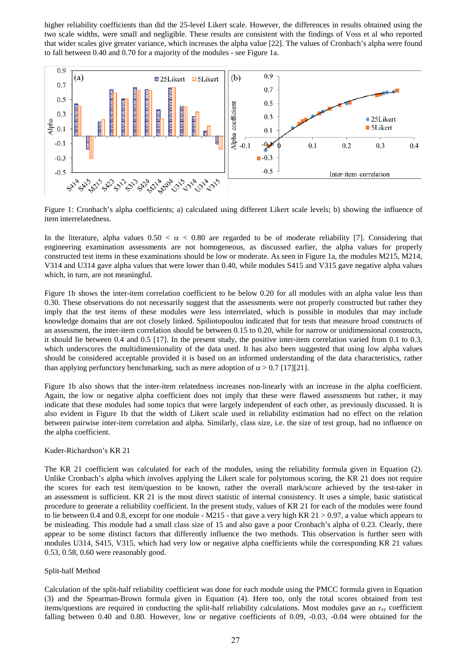higher reliability coefficients than did the 25-level Likert scale. However, the differences in results obtained using the two scale widths, were small and negligible. These results are consistent with the findings of Voss et al who reported that wider scales give greater variance, which increases the alpha value [22]. The values of Cronbach's alpha were found to fall between 0.40 and 0.70 for a majority of the modules - see Figure 1a.



Figure 1: Cronbach's alpha coefficients; a) calculated using different Likert scale levels; b) showing the influence of item interrelatedness.

In the literature, alpha values  $0.50 < \alpha < 0.80$  are regarded to be of moderate reliability [7]. Considering that engineering examination assessments are not homogeneous, as discussed earlier, the alpha values for properly constructed test items in these examinations should be low or moderate. As seen in Figure 1a, the modules M215, M214, V314 and U314 gave alpha values that were lower than 0.40, while modules S415 and V315 gave negative alpha values which, in turn, are not meaningful.

Figure 1b shows the inter-item correlation coefficient to be below 0.20 for all modules with an alpha value less than 0.30. These observations do not necessarily suggest that the assessments were not properly constructed but rather they imply that the test items of these modules were less interrelated, which is possible in modules that may include knowledge domains that are not closely linked. Spiliotopoulou indicated that for tests that measure broad constructs of an assessment, the inter-item correlation should be between 0.15 to 0.20, while for narrow or unidimensional constructs, it should lie between 0.4 and 0.5 [17]. In the present study, the positive inter-item correlation varied from 0.1 to 0.3, which underscores the multidimensionality of the data used. It has also been suggested that using low alpha values should be considered acceptable provided it is based on an informed understanding of the data characteristics, rather than applying perfunctory benchmarking, such as mere adoption of  $\alpha > 0.7$  [17][21].

Figure 1b also shows that the inter-item relatedness increases non-linearly with an increase in the alpha coefficient. Again, the low or negative alpha coefficient does not imply that these were flawed assessments but rather, it may indicate that these modules had some topics that were largely independent of each other, as previously discussed. It is also evident in Figure 1b that the width of Likert scale used in reliability estimation had no effect on the relation between pairwise inter-item correlation and alpha. Similarly, class size, i.e. the size of test group, had no influence on the alpha coefficient.

## Kuder-Richardson's KR 21

The KR 21 coefficient was calculated for each of the modules, using the reliability formula given in Equation (2). Unlike Cronbach's alpha which involves applying the Likert scale for polytomous scoring, the KR 21 does not require the scores for each test item/question to be known, rather the overall mark/score achieved by the test-taker in an assessment is sufficient. KR 21 is the most direct statistic of internal consistency. It uses a simple, basic statistical procedure to generate a reliability coefficient. In the present study, values of KR 21 for each of the modules were found to lie between 0.4 and 0.8, except for one module - M215 - that gave a very high KR 21  $>$  0.97, a value which appears to be misleading. This module had a small class size of 15 and also gave a poor Cronbach's alpha of 0.23. Clearly, there appear to be some distinct factors that differently influence the two methods. This observation is further seen with modules U314, S415, V315, which had very low or negative alpha coefficients while the corresponding KR 21 values 0.53, 0.58, 0.60 were reasonably good.

## Split-half Method

Calculation of the split-half reliability coefficient was done for each module using the PMCC formula given in Equation (3) and the Spearman-Brown formula given in Equation (4). Here too, only the total scores obtained from test items/questions are required in conducting the split-half reliability calculations. Most modules gave an  $r_{xy}$  coefficient falling between 0.40 and 0.80. However, low or negative coefficients of 0.09, -0.03, -0.04 were obtained for the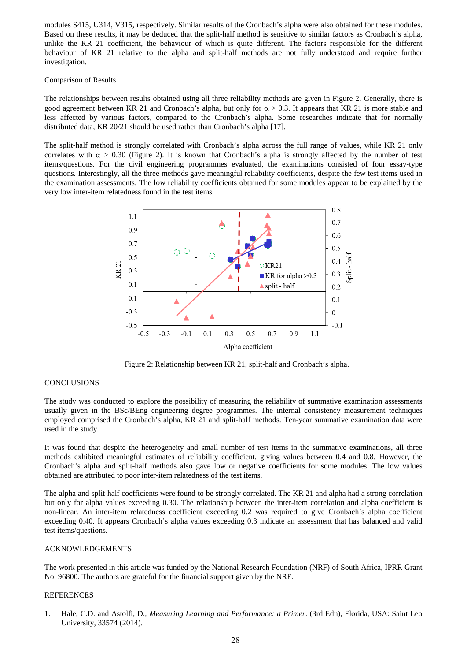modules S415, U314, V315, respectively. Similar results of the Cronbach's alpha were also obtained for these modules. Based on these results, it may be deduced that the split-half method is sensitive to similar factors as Cronbach's alpha, unlike the KR 21 coefficient, the behaviour of which is quite different. The factors responsible for the different behaviour of KR 21 relative to the alpha and split-half methods are not fully understood and require further investigation.

## Comparison of Results

The relationships between results obtained using all three reliability methods are given in Figure 2. Generally, there is good agreement between KR 21 and Cronbach's alpha, but only for  $\alpha > 0.3$ . It appears that KR 21 is more stable and less affected by various factors, compared to the Cronbach's alpha. Some researches indicate that for normally distributed data, KR 20/21 should be used rather than Cronbach's alpha [17].

The split-half method is strongly correlated with Cronbach's alpha across the full range of values, while KR 21 only correlates with  $\alpha > 0.30$  (Figure 2). It is known that Cronbach's alpha is strongly affected by the number of test items/questions. For the civil engineering programmes evaluated, the examinations consisted of four essay-type questions. Interestingly, all the three methods gave meaningful reliability coefficients, despite the few test items used in the examination assessments. The low reliability coefficients obtained for some modules appear to be explained by the very low inter-item relatedness found in the test items.



Figure 2: Relationship between KR 21, split-half and Cronbach's alpha.

## CONCLUSIONS

The study was conducted to explore the possibility of measuring the reliability of summative examination assessments usually given in the BSc/BEng engineering degree programmes. The internal consistency measurement techniques employed comprised the Cronbach's alpha, KR 21 and split-half methods. Ten-year summative examination data were used in the study.

It was found that despite the heterogeneity and small number of test items in the summative examinations, all three methods exhibited meaningful estimates of reliability coefficient, giving values between 0.4 and 0.8. However, the Cronbach's alpha and split-half methods also gave low or negative coefficients for some modules. The low values obtained are attributed to poor inter-item relatedness of the test items.

The alpha and split-half coefficients were found to be strongly correlated. The KR 21 and alpha had a strong correlation but only for alpha values exceeding 0.30. The relationship between the inter-item correlation and alpha coefficient is non-linear. An inter-item relatedness coefficient exceeding 0.2 was required to give Cronbach's alpha coefficient exceeding 0.40. It appears Cronbach's alpha values exceeding 0.3 indicate an assessment that has balanced and valid test items/questions.

## ACKNOWLEDGEMENTS

The work presented in this article was funded by the National Research Foundation (NRF) of South Africa, IPRR Grant No. 96800. The authors are grateful for the financial support given by the NRF.

#### REFERENCES

1. Hale, C.D. and Astolfi, D., *Measuring Learning and Performance: a Primer*. (3rd Edn), Florida, USA: Saint Leo University, 33574 (2014).